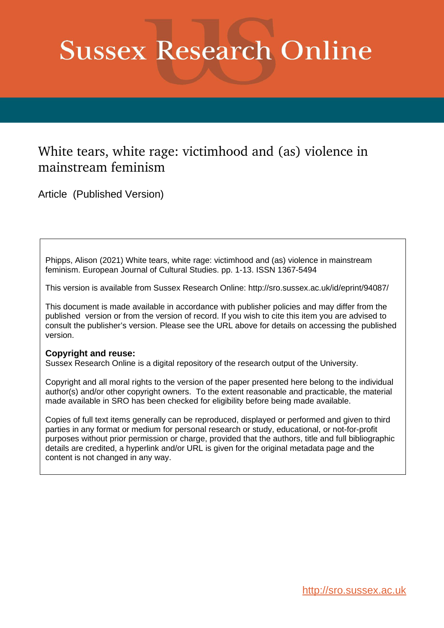# **Sussex Research Online**

# White tears, white rage: victimhood and (as) violence in mainstream feminism

Article (Published Version)

Phipps, Alison (2021) White tears, white rage: victimhood and (as) violence in mainstream feminism. European Journal of Cultural Studies. pp. 1-13. ISSN 1367-5494

This version is available from Sussex Research Online: http://sro.sussex.ac.uk/id/eprint/94087/

This document is made available in accordance with publisher policies and may differ from the published version or from the version of record. If you wish to cite this item you are advised to consult the publisher's version. Please see the URL above for details on accessing the published version.

# **Copyright and reuse:**

Sussex Research Online is a digital repository of the research output of the University.

Copyright and all moral rights to the version of the paper presented here belong to the individual author(s) and/or other copyright owners. To the extent reasonable and practicable, the material made available in SRO has been checked for eligibility before being made available.

Copies of full text items generally can be reproduced, displayed or performed and given to third parties in any format or medium for personal research or study, educational, or not-for-profit purposes without prior permission or charge, provided that the authors, title and full bibliographic details are credited, a hyperlink and/or URL is given for the original metadata page and the content is not changed in any way.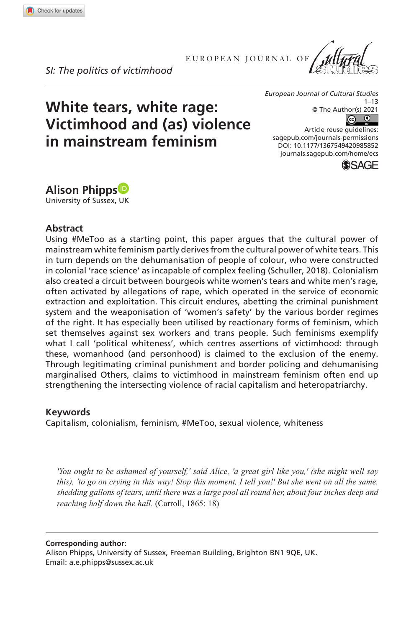**9858[52](http://crossmark.crossref.org/dialog/?doi=10.1177%2F1367549420985852&domain=pdf&date_stamp=2021-01-19)** ECS0010.1177/1367549420985852European Journal of Cultural Studies**Phipps**

EUROPEAN JOURNAL OF

*SI: The politics of victimhood*

**White tears, white rage:** 

**in mainstream feminism**

**Victimhood and (as) violence** 



*European Journal of Cultural Studies*  $1 - 13$ © The Author(s) 2021  $\sqrt{c}$  $\odot$ 

DOI: 10.1177/1367549420985852 Article reuse guidelines: [sagepub.com/journals-permissions](https://uk.sagepub.com/en-gb/journals-permissions) [journals.sagepub.com/home/ecs](https://journals.sagepub.com/home/ecs)



**Alison Phipps** University of Sussex, UK

#### **Abstract**

Using #MeToo as a starting point, this paper argues that the cultural power of mainstream white feminism partly derives from the cultural power of white tears. This in turn depends on the dehumanisation of people of colour, who were constructed in colonial 'race science' as incapable of complex feeling (Schuller, 2018). Colonialism also created a circuit between bourgeois white women's tears and white men's rage, often activated by allegations of rape, which operated in the service of economic extraction and exploitation. This circuit endures, abetting the criminal punishment system and the weaponisation of 'women's safety' by the various border regimes of the right. It has especially been utilised by reactionary forms of feminism, which set themselves against sex workers and trans people. Such feminisms exemplify what I call 'political whiteness', which centres assertions of victimhood: through these, womanhood (and personhood) is claimed to the exclusion of the enemy. Through legitimating criminal punishment and border policing and dehumanising marginalised Others, claims to victimhood in mainstream feminism often end up strengthening the intersecting violence of racial capitalism and heteropatriarchy.

#### **Keywords**

Capitalism, colonialism, feminism, #MeToo, sexual violence, whiteness

*'You ought to be ashamed of yourself,' said Alice, 'a great girl like you,' (she might well say this), 'to go on crying in this way! Stop this moment, I tell you!' But she went on all the same, shedding gallons of tears, until there was a large pool all round her, about four inches deep and reaching half down the hall.* (Carroll, 1865: 18)

**Corresponding author:**

Alison Phipps, University of Sussex, Freeman Building, Brighton BN1 9QE, UK. Email: [a.e.phipps@sussex.ac.uk](mailto:a.e.phipps@sussex.ac.uk)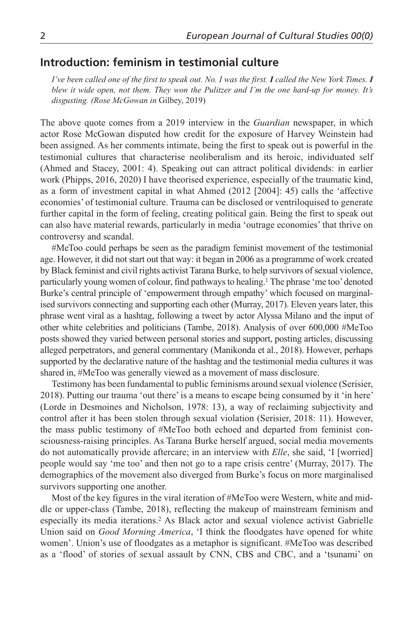# **Introduction: feminism in testimonial culture**

*I've been called one of the first to speak out. No. I was the first. I called the New York Times. I blew it wide open, not them. They won the Pulitzer and I'm the one hard-up for money. It's disgusting. (Rose McGowan in* Gilbey, 2019)

The above quote comes from a 2019 interview in the *Guardian* newspaper, in which actor Rose McGowan disputed how credit for the exposure of Harvey Weinstein had been assigned. As her comments intimate, being the first to speak out is powerful in the testimonial cultures that characterise neoliberalism and its heroic, individuated self (Ahmed and Stacey, 2001: 4). Speaking out can attract political dividends: in earlier work (Phipps, 2016, 2020) I have theorised experience, especially of the traumatic kind, as a form of investment capital in what Ahmed (2012 [2004]: 45) calls the 'affective economies' of testimonial culture. Trauma can be disclosed or ventriloquised to generate further capital in the form of feeling, creating political gain. Being the first to speak out can also have material rewards, particularly in media 'outrage economies' that thrive on controversy and scandal.

#MeToo could perhaps be seen as the paradigm feminist movement of the testimonial age. However, it did not start out that way: it began in 2006 as a programme of work created by Black feminist and civil rights activist Tarana Burke, to help survivors of sexual violence, particularly young women of colour, find pathways to healing.1 The phrase 'me too' denoted Burke's central principle of 'empowerment through empathy' which focused on marginalised survivors connecting and supporting each other (Murray, 2017). Eleven years later, this phrase went viral as a hashtag, following a tweet by actor Alyssa Milano and the input of other white celebrities and politicians (Tambe, 2018). Analysis of over 600,000 #MeToo posts showed they varied between personal stories and support, posting articles, discussing alleged perpetrators, and general commentary (Manikonda et al., 2018). However, perhaps supported by the declarative nature of the hashtag and the testimonial media cultures it was shared in, #MeToo was generally viewed as a movement of mass disclosure.

Testimony has been fundamental to public feminisms around sexual violence (Serisier, 2018). Putting our trauma 'out there' is a means to escape being consumed by it 'in here' (Lorde in Desmoines and Nicholson, 1978: 13), a way of reclaiming subjectivity and control after it has been stolen through sexual violation (Serisier, 2018: 11). However, the mass public testimony of #MeToo both echoed and departed from feminist consciousness-raising principles. As Tarana Burke herself argued, social media movements do not automatically provide aftercare; in an interview with *Elle*, she said, 'I [worried] people would say 'me too' and then not go to a rape crisis centre' (Murray, 2017). The demographics of the movement also diverged from Burke's focus on more marginalised survivors supporting one another.

Most of the key figures in the viral iteration of #MeToo were Western, white and middle or upper-class (Tambe, 2018), reflecting the makeup of mainstream feminism and especially its media iterations.2 As Black actor and sexual violence activist Gabrielle Union said on *Good Morning America*, 'I think the floodgates have opened for white women'. Union's use of floodgates as a metaphor is significant. #MeToo was described as a 'flood' of stories of sexual assault by CNN, CBS and CBC, and a 'tsunami' on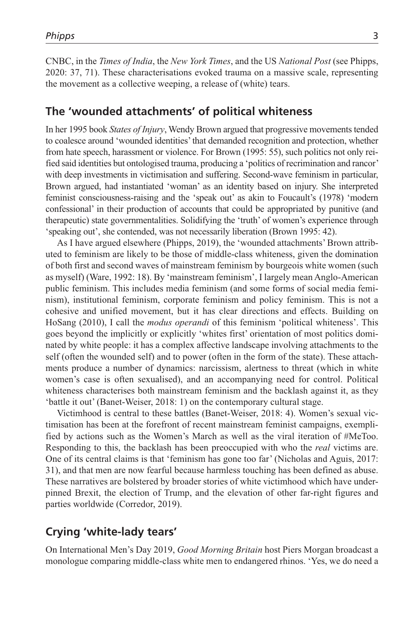CNBC, in the *Times of India*, the *New York Times*, and the US *National Post* (see Phipps, 2020: 37, 71). These characterisations evoked trauma on a massive scale, representing the movement as a collective weeping, a release of (white) tears.

#### **The 'wounded attachments' of political whiteness**

In her 1995 book *States of Injury*, Wendy Brown argued that progressive movements tended to coalesce around 'wounded identities' that demanded recognition and protection, whether from hate speech, harassment or violence. For Brown (1995: 55), such politics not only reified said identities but ontologised trauma, producing a 'politics of recrimination and rancor' with deep investments in victimisation and suffering. Second-wave feminism in particular, Brown argued, had instantiated 'woman' as an identity based on injury. She interpreted feminist consciousness-raising and the 'speak out' as akin to Foucault's (1978) 'modern confessional' in their production of accounts that could be appropriated by punitive (and therapeutic) state governmentalities. Solidifying the 'truth' of women's experience through 'speaking out', she contended, was not necessarily liberation (Brown 1995: 42).

As I have argued elsewhere (Phipps, 2019), the 'wounded attachments' Brown attributed to feminism are likely to be those of middle-class whiteness, given the domination of both first and second waves of mainstream feminism by bourgeois white women (such as myself) (Ware, 1992: 18). By 'mainstream feminism', I largely mean Anglo-American public feminism. This includes media feminism (and some forms of social media feminism), institutional feminism, corporate feminism and policy feminism. This is not a cohesive and unified movement, but it has clear directions and effects. Building on HoSang (2010), I call the *modus operandi* of this feminism 'political whiteness'. This goes beyond the implicitly or explicitly 'whites first' orientation of most politics dominated by white people: it has a complex affective landscape involving attachments to the self (often the wounded self) and to power (often in the form of the state). These attachments produce a number of dynamics: narcissism, alertness to threat (which in white women's case is often sexualised), and an accompanying need for control. Political whiteness characterises both mainstream feminism and the backlash against it, as they 'battle it out' (Banet-Weiser, 2018: 1) on the contemporary cultural stage.

Victimhood is central to these battles (Banet-Weiser, 2018: 4). Women's sexual victimisation has been at the forefront of recent mainstream feminist campaigns, exemplified by actions such as the Women's March as well as the viral iteration of #MeToo. Responding to this, the backlash has been preoccupied with who the *real* victims are. One of its central claims is that 'feminism has gone too far' (Nicholas and Aguis, 2017: 31), and that men are now fearful because harmless touching has been defined as abuse. These narratives are bolstered by broader stories of white victimhood which have underpinned Brexit, the election of Trump, and the elevation of other far-right figures and parties worldwide (Corredor, 2019).

# **Crying 'white-lady tears'**

On International Men's Day 2019, *Good Morning Britain* host Piers Morgan broadcast a monologue comparing middle-class white men to endangered rhinos. 'Yes, we do need a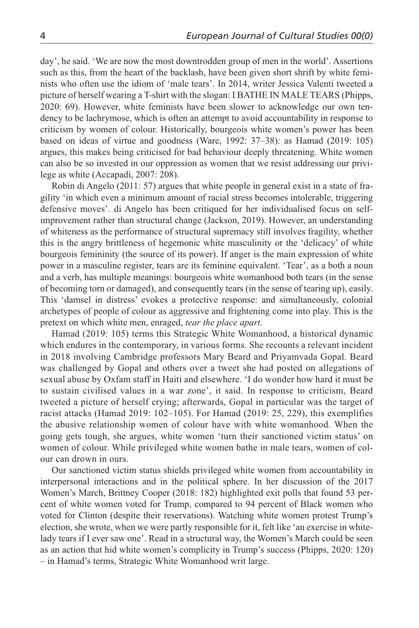day', he said. 'We are now the most downtrodden group of men in the world'. Assertions such as this, from the heart of the backlash, have been given short shrift by white feminists who often use the idiom of 'male tears'. In 2014, writer Jessica Valenti tweeted a picture of herself wearing a T-shirt with the slogan: I BATHE IN MALE TEARS (Phipps, 2020: 69). However, white feminists have been slower to acknowledge our own tendency to be lachrymose, which is often an attempt to avoid accountability in response to criticism by women of colour. Historically, bourgeois white women's power has been based on ideas of virtue and goodness (Ware, 1992: 37–38): as Hamad (2019: 105) argues, this makes being criticised for bad behaviour deeply threatening. White women can also be so invested in our oppression as women that we resist addressing our privilege as white (Accapadi, 2007: 208).

Robin di Angelo (2011: 57) argues that white people in general exist in a state of fragility 'in which even a minimum amount of racial stress becomes intolerable, triggering defensive moves'. di Angelo has been critiqued for her individualised focus on selfimprovement rather than structural change (Jackson, 2019). However, an understanding of whiteness as the performance of structural supremacy still involves fragility, whether this is the angry brittleness of hegemonic white masculinity or the 'delicacy' of white bourgeois femininity (the source of its power). If anger is the main expression of white power in a masculine register, tears are its feminine equivalent. 'Tear', as a both a noun and a verb, has multiple meanings: bourgeois white womanhood both tears (in the sense of becoming torn or damaged), and consequently tears (in the sense of tearing up), easily. This 'damsel in distress' evokes a protective response: and simultaneously, colonial archetypes of people of colour as aggressive and frightening come into play. This is the pretext on which white men, enraged, *tear the place apart*.

Hamad (2019: 105) terms this Strategic White Womanhood, a historical dynamic which endures in the contemporary, in various forms. She recounts a relevant incident in 2018 involving Cambridge professors Mary Beard and Priyamvada Gopal. Beard was challenged by Gopal and others over a tweet she had posted on allegations of sexual abuse by Oxfam staff in Haiti and elsewhere. 'I do wonder how hard it must be to sustain civilised values in a war zone', it said. In response to criticism, Beard tweeted a picture of herself crying; afterwards, Gopal in particular was the target of racist attacks (Hamad 2019: 102–105). For Hamad (2019: 25, 229), this exemplifies the abusive relationship women of colour have with white womanhood. When the going gets tough, she argues, white women 'turn their sanctioned victim status' on women of colour. While privileged white women bathe in male tears, women of colour can drown in ours.

Our sanctioned victim status shields privileged white women from accountability in interpersonal interactions and in the political sphere. In her discussion of the 2017 Women's March, Brittney Cooper (2018: 182) highlighted exit polls that found 53 percent of white women voted for Trump, compared to 94 percent of Black women who voted for Clinton (despite their reservations). Watching white women protest Trump's election, she wrote, when we were partly responsible for it, felt like 'an exercise in whitelady tears if I ever saw one'. Read in a structural way, the Women's March could be seen as an action that hid white women's complicity in Trump's success (Phipps, 2020: 120) – in Hamad's terms, Strategic White Womanhood writ large.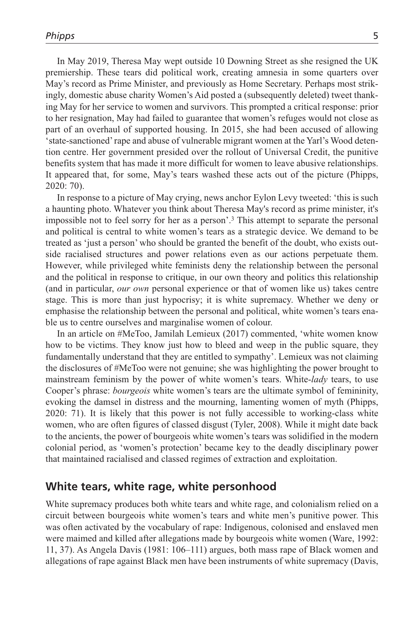In May 2019, Theresa May wept outside 10 Downing Street as she resigned the UK premiership. These tears did political work, creating amnesia in some quarters over May's record as Prime Minister, and previously as Home Secretary. Perhaps most strikingly, domestic abuse charity Women's Aid posted a (subsequently deleted) tweet thanking May for her service to women and survivors. This prompted a critical response: prior to her resignation, May had failed to guarantee that women's refuges would not close as part of an overhaul of supported housing. In 2015, she had been accused of allowing 'state-sanctioned' rape and abuse of vulnerable migrant women at the Yarl's Wood detention centre. Her government presided over the rollout of Universal Credit, the punitive benefits system that has made it more difficult for women to leave abusive relationships. It appeared that, for some, May's tears washed these acts out of the picture (Phipps, 2020: 70).

In response to a picture of May crying, news anchor Eylon Levy tweeted: 'this is such a haunting photo. Whatever you think about Theresa May's record as prime minister, it's impossible not to feel sorry for her as a person'.3 This attempt to separate the personal and political is central to white women's tears as a strategic device. We demand to be treated as 'just a person' who should be granted the benefit of the doubt, who exists outside racialised structures and power relations even as our actions perpetuate them. However, while privileged white feminists deny the relationship between the personal and the political in response to critique, in our own theory and politics this relationship (and in particular, *our own* personal experience or that of women like us) takes centre stage. This is more than just hypocrisy; it is white supremacy. Whether we deny or emphasise the relationship between the personal and political, white women's tears enable us to centre ourselves and marginalise women of colour.

In an article on #MeToo, Jamilah Lemieux (2017) commented, 'white women know how to be victims. They know just how to bleed and weep in the public square, they fundamentally understand that they are entitled to sympathy'. Lemieux was not claiming the disclosures of #MeToo were not genuine; she was highlighting the power brought to mainstream feminism by the power of white women's tears. White-*lady* tears, to use Cooper's phrase: *bourgeois* white women's tears are the ultimate symbol of femininity, evoking the damsel in distress and the mourning, lamenting women of myth (Phipps, 2020: 71). It is likely that this power is not fully accessible to working-class white women, who are often figures of classed disgust (Tyler, 2008). While it might date back to the ancients, the power of bourgeois white women's tears was solidified in the modern colonial period, as 'women's protection' became key to the deadly disciplinary power that maintained racialised and classed regimes of extraction and exploitation.

#### **White tears, white rage, white personhood**

White supremacy produces both white tears and white rage, and colonialism relied on a circuit between bourgeois white women's tears and white men's punitive power. This was often activated by the vocabulary of rape: Indigenous, colonised and enslaved men were maimed and killed after allegations made by bourgeois white women (Ware, 1992: 11, 37). As Angela Davis (1981: 106–111) argues, both mass rape of Black women and allegations of rape against Black men have been instruments of white supremacy (Davis,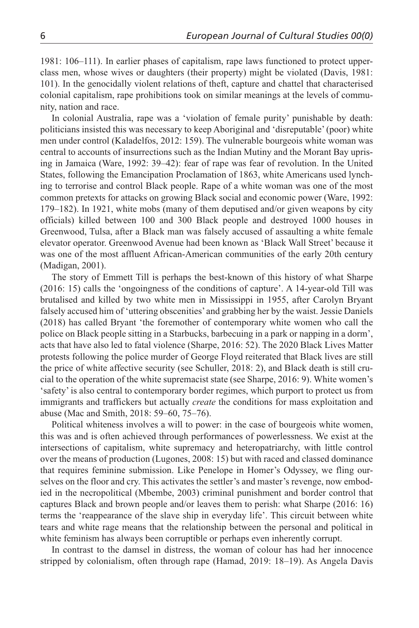1981: 106–111). In earlier phases of capitalism, rape laws functioned to protect upperclass men, whose wives or daughters (their property) might be violated (Davis, 1981: 101). In the genocidally violent relations of theft, capture and chattel that characterised colonial capitalism, rape prohibitions took on similar meanings at the levels of community, nation and race.

In colonial Australia, rape was a 'violation of female purity' punishable by death: politicians insisted this was necessary to keep Aboriginal and 'disreputable' (poor) white men under control (Kaladelfos, 2012: 159). The vulnerable bourgeois white woman was central to accounts of insurrections such as the Indian Mutiny and the Morant Bay uprising in Jamaica (Ware, 1992: 39–42): fear of rape was fear of revolution. In the United States, following the Emancipation Proclamation of 1863, white Americans used lynching to terrorise and control Black people. Rape of a white woman was one of the most common pretexts for attacks on growing Black social and economic power (Ware, 1992: 179–182). In 1921, white mobs (many of them deputised and/or given weapons by city officials) killed between 100 and 300 Black people and destroyed 1000 houses in Greenwood, Tulsa, after a Black man was falsely accused of assaulting a white female elevator operator. Greenwood Avenue had been known as 'Black Wall Street' because it was one of the most affluent African-American communities of the early 20th century (Madigan, 2001).

The story of Emmett Till is perhaps the best-known of this history of what Sharpe (2016: 15) calls the 'ongoingness of the conditions of capture'. A 14-year-old Till was brutalised and killed by two white men in Mississippi in 1955, after Carolyn Bryant falsely accused him of 'uttering obscenities' and grabbing her by the waist. Jessie Daniels (2018) has called Bryant 'the foremother of contemporary white women who call the police on Black people sitting in a Starbucks, barbecuing in a park or napping in a dorm', acts that have also led to fatal violence (Sharpe, 2016: 52). The 2020 Black Lives Matter protests following the police murder of George Floyd reiterated that Black lives are still the price of white affective security (see Schuller, 2018: 2), and Black death is still crucial to the operation of the white supremacist state (see Sharpe, 2016: 9). White women's 'safety' is also central to contemporary border regimes, which purport to protect us from immigrants and traffickers but actually *create* the conditions for mass exploitation and abuse (Mac and Smith, 2018: 59–60, 75–76).

Political whiteness involves a will to power: in the case of bourgeois white women, this was and is often achieved through performances of powerlessness. We exist at the intersections of capitalism, white supremacy and heteropatriarchy, with little control over the means of production (Lugones, 2008: 15) but with raced and classed dominance that requires feminine submission. Like Penelope in Homer's Odyssey, we fling ourselves on the floor and cry. This activates the settler's and master's revenge, now embodied in the necropolitical (Mbembe, 2003) criminal punishment and border control that captures Black and brown people and/or leaves them to perish: what Sharpe (2016: 16) terms the 'reappearance of the slave ship in everyday life'. This circuit between white tears and white rage means that the relationship between the personal and political in white feminism has always been corruptible or perhaps even inherently corrupt.

In contrast to the damsel in distress, the woman of colour has had her innocence stripped by colonialism, often through rape (Hamad, 2019: 18–19). As Angela Davis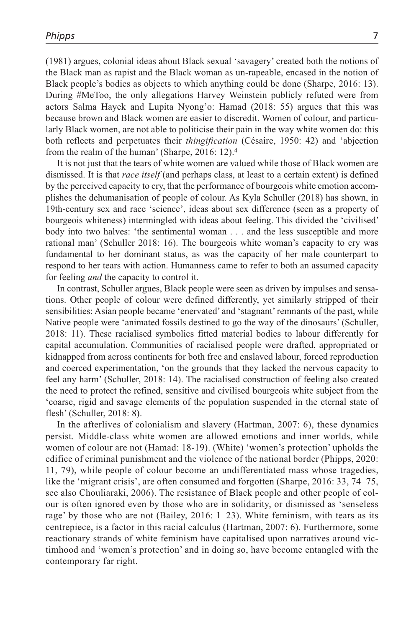(1981) argues, colonial ideas about Black sexual 'savagery' created both the notions of the Black man as rapist and the Black woman as un-rapeable, encased in the notion of Black people's bodies as objects to which anything could be done (Sharpe, 2016: 13). During #MeToo, the only allegations Harvey Weinstein publicly refuted were from actors Salma Hayek and Lupita Nyong'o: Hamad (2018: 55) argues that this was because brown and Black women are easier to discredit. Women of colour, and particularly Black women, are not able to politicise their pain in the way white women do: this both reflects and perpetuates their *thingification* (Césaire, 1950: 42) and 'abjection from the realm of the human' (Sharpe, 2016: 12).4

It is not just that the tears of white women are valued while those of Black women are dismissed. It is that *race itself* (and perhaps class, at least to a certain extent) is defined by the perceived capacity to cry, that the performance of bourgeois white emotion accomplishes the dehumanisation of people of colour. As Kyla Schuller (2018) has shown, in 19th-century sex and race 'science', ideas about sex difference (seen as a property of bourgeois whiteness) intermingled with ideas about feeling. This divided the 'civilised' body into two halves: 'the sentimental woman . . . and the less susceptible and more rational man' (Schuller 2018: 16). The bourgeois white woman's capacity to cry was fundamental to her dominant status, as was the capacity of her male counterpart to respond to her tears with action. Humanness came to refer to both an assumed capacity for feeling *and* the capacity to control it.

In contrast, Schuller argues, Black people were seen as driven by impulses and sensations. Other people of colour were defined differently, yet similarly stripped of their sensibilities: Asian people became 'enervated' and 'stagnant' remnants of the past, while Native people were 'animated fossils destined to go the way of the dinosaurs' (Schuller, 2018: 11). These racialised symbolics fitted material bodies to labour differently for capital accumulation. Communities of racialised people were drafted, appropriated or kidnapped from across continents for both free and enslaved labour, forced reproduction and coerced experimentation, 'on the grounds that they lacked the nervous capacity to feel any harm' (Schuller, 2018: 14). The racialised construction of feeling also created the need to protect the refined, sensitive and civilised bourgeois white subject from the 'coarse, rigid and savage elements of the population suspended in the eternal state of flesh' (Schuller, 2018: 8).

In the afterlives of colonialism and slavery (Hartman, 2007: 6), these dynamics persist. Middle-class white women are allowed emotions and inner worlds, while women of colour are not (Hamad: 18-19). (White) 'women's protection' upholds the edifice of criminal punishment and the violence of the national border (Phipps, 2020: 11, 79), while people of colour become an undifferentiated mass whose tragedies, like the 'migrant crisis', are often consumed and forgotten (Sharpe, 2016: 33, 74–75, see also Chouliaraki, 2006). The resistance of Black people and other people of colour is often ignored even by those who are in solidarity, or dismissed as 'senseless rage' by those who are not (Bailey, 2016: 1–23). White feminism, with tears as its centrepiece, is a factor in this racial calculus (Hartman, 2007: 6). Furthermore, some reactionary strands of white feminism have capitalised upon narratives around victimhood and 'women's protection' and in doing so, have become entangled with the contemporary far right.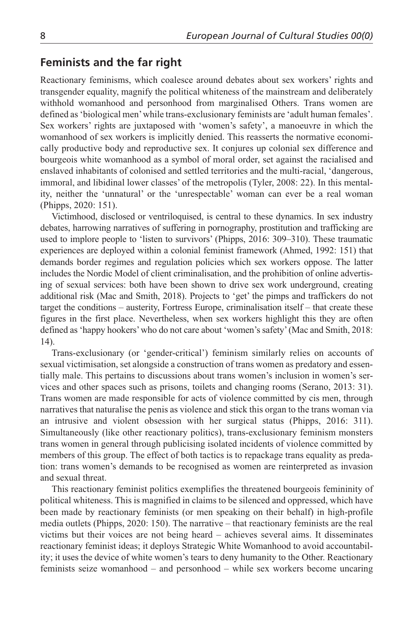#### **Feminists and the far right**

Reactionary feminisms, which coalesce around debates about sex workers' rights and transgender equality, magnify the political whiteness of the mainstream and deliberately withhold womanhood and personhood from marginalised Others. Trans women are defined as 'biological men' while trans-exclusionary feminists are 'adult human females'. Sex workers' rights are juxtaposed with 'women's safety', a manoeuvre in which the womanhood of sex workers is implicitly denied. This reasserts the normative economically productive body and reproductive sex. It conjures up colonial sex difference and bourgeois white womanhood as a symbol of moral order, set against the racialised and enslaved inhabitants of colonised and settled territories and the multi-racial, 'dangerous, immoral, and libidinal lower classes' of the metropolis (Tyler, 2008: 22). In this mentality, neither the 'unnatural' or the 'unrespectable' woman can ever be a real woman (Phipps, 2020: 151).

Victimhood, disclosed or ventriloquised, is central to these dynamics. In sex industry debates, harrowing narratives of suffering in pornography, prostitution and trafficking are used to implore people to 'listen to survivors' (Phipps, 2016: 309–310). These traumatic experiences are deployed within a colonial feminist framework (Ahmed, 1992: 151) that demands border regimes and regulation policies which sex workers oppose. The latter includes the Nordic Model of client criminalisation, and the prohibition of online advertising of sexual services: both have been shown to drive sex work underground, creating additional risk (Mac and Smith, 2018). Projects to 'get' the pimps and traffickers do not target the conditions – austerity, Fortress Europe, criminalisation itself – that create these figures in the first place. Nevertheless, when sex workers highlight this they are often defined as 'happy hookers' who do not care about 'women's safety' (Mac and Smith, 2018: 14).

Trans-exclusionary (or 'gender-critical') feminism similarly relies on accounts of sexual victimisation, set alongside a construction of trans women as predatory and essentially male. This pertains to discussions about trans women's inclusion in women's services and other spaces such as prisons, toilets and changing rooms (Serano, 2013: 31). Trans women are made responsible for acts of violence committed by cis men, through narratives that naturalise the penis as violence and stick this organ to the trans woman via an intrusive and violent obsession with her surgical status (Phipps, 2016: 311). Simultaneously (like other reactionary politics), trans-exclusionary feminism monsters trans women in general through publicising isolated incidents of violence committed by members of this group. The effect of both tactics is to repackage trans equality as predation: trans women's demands to be recognised as women are reinterpreted as invasion and sexual threat.

This reactionary feminist politics exemplifies the threatened bourgeois femininity of political whiteness. This is magnified in claims to be silenced and oppressed, which have been made by reactionary feminists (or men speaking on their behalf) in high-profile media outlets (Phipps, 2020: 150). The narrative – that reactionary feminists are the real victims but their voices are not being heard – achieves several aims. It disseminates reactionary feminist ideas; it deploys Strategic White Womanhood to avoid accountability; it uses the device of white women's tears to deny humanity to the Other. Reactionary feminists seize womanhood – and personhood – while sex workers become uncaring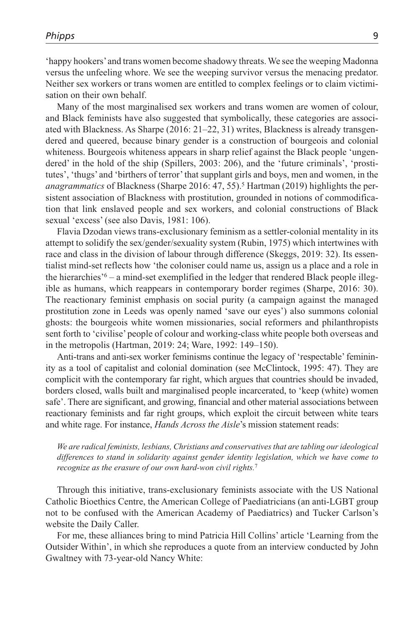'happy hookers' and trans women become shadowy threats. We see the weeping Madonna versus the unfeeling whore. We see the weeping survivor versus the menacing predator. Neither sex workers or trans women are entitled to complex feelings or to claim victimisation on their own behalf.

Many of the most marginalised sex workers and trans women are women of colour, and Black feminists have also suggested that symbolically, these categories are associated with Blackness. As Sharpe (2016: 21–22, 31) writes, Blackness is already transgendered and queered, because binary gender is a construction of bourgeois and colonial whiteness. Bourgeois whiteness appears in sharp relief against the Black people 'ungendered' in the hold of the ship (Spillers, 2003: 206), and the 'future criminals', 'prostitutes', 'thugs' and 'birthers of terror' that supplant girls and boys, men and women, in the *anagrammatics* of Blackness (Sharpe 2016: 47, 55).<sup>5</sup> Hartman (2019) highlights the persistent association of Blackness with prostitution, grounded in notions of commodification that link enslaved people and sex workers, and colonial constructions of Black sexual 'excess' (see also Davis, 1981: 106).

Flavia Dzodan views trans-exclusionary feminism as a settler-colonial mentality in its attempt to solidify the sex/gender/sexuality system (Rubin, 1975) which intertwines with race and class in the division of labour through difference (Skeggs, 2019: 32). Its essentialist mind-set reflects how 'the coloniser could name us, assign us a place and a role in the hierarchies'<sup>6</sup> – a mind-set exemplified in the ledger that rendered Black people illegible as humans, which reappears in contemporary border regimes (Sharpe, 2016: 30). The reactionary feminist emphasis on social purity (a campaign against the managed prostitution zone in Leeds was openly named 'save our eyes') also summons colonial ghosts: the bourgeois white women missionaries, social reformers and philanthropists sent forth to 'civilise' people of colour and working-class white people both overseas and in the metropolis (Hartman, 2019: 24; Ware, 1992: 149–150).

Anti-trans and anti-sex worker feminisms continue the legacy of 'respectable' femininity as a tool of capitalist and colonial domination (see McClintock, 1995: 47). They are complicit with the contemporary far right, which argues that countries should be invaded, borders closed, walls built and marginalised people incarcerated, to 'keep (white) women safe'. There are significant, and growing, financial and other material associations between reactionary feminists and far right groups, which exploit the circuit between white tears and white rage. For instance, *Hands Across the Aisle*'s mission statement reads:

*We are radical feminists, lesbians, Christians and conservatives that are tabling our ideological differences to stand in solidarity against gender identity legislation, which we have come to recognize as the erasure of our own hard-won civil rights.*<sup>7</sup>

Through this initiative, trans-exclusionary feminists associate with the US National Catholic Bioethics Centre, the American College of Paediatricians (an anti-LGBT group not to be confused with the American Academy of Paediatrics) and Tucker Carlson's website the Daily Caller.

For me, these alliances bring to mind Patricia Hill Collins' article 'Learning from the Outsider Within', in which she reproduces a quote from an interview conducted by John Gwaltney with 73-year-old Nancy White: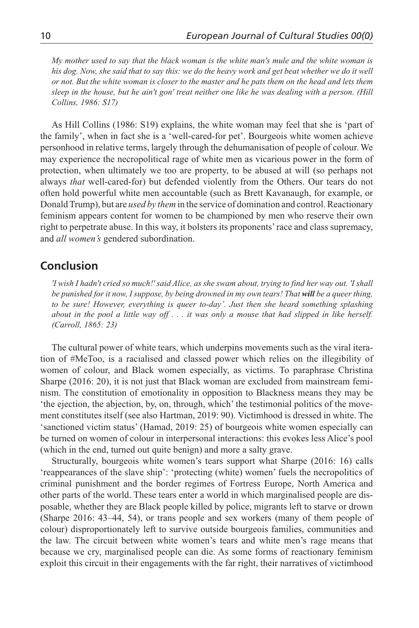*My mother used to say that the black woman is the white man's mule and the white woman is*  his dog. Now, she said that to say this: we do the heavy work and get beat whether we do it well *or not. But the white woman is closer to the master and he pats them on the head and lets them sleep in the house, but he ain't gon' treat neither one like he was dealing with a person. (Hill Collins, 1986: S17)*

As Hill Collins (1986: S19) explains, the white woman may feel that she is 'part of the family', when in fact she is a 'well-cared-for pet'. Bourgeois white women achieve personhood in relative terms, largely through the dehumanisation of people of colour. We may experience the necropolitical rage of white men as vicarious power in the form of protection, when ultimately we too are property, to be abused at will (so perhaps not always *that* well-cared-for) but defended violently from the Others. Our tears do not often hold powerful white men accountable (such as Brett Kavanaugh, for example, or Donald Trump), but are *used by them* in the service of domination and control. Reactionary feminism appears content for women to be championed by men who reserve their own right to perpetrate abuse. In this way, it bolsters its proponents' race and class supremacy, and *all women's* gendered subordination.

## **Conclusion**

*'I wish I hadn't cried so much!' said Alice, as she swam about, trying to find her way out. 'I shall be punished for it now, I suppose, by being drowned in my own tears! That will be a queer thing,*  to be sure! However, everything is queer to-day'. Just then she heard something splashing *about in the pool a little way off . . . it was only a mouse that had slipped in like herself. (Carroll, 1865: 23)*

The cultural power of white tears, which underpins movements such as the viral iteration of #MeToo, is a racialised and classed power which relies on the illegibility of women of colour, and Black women especially, as victims. To paraphrase Christina Sharpe (2016: 20), it is not just that Black woman are excluded from mainstream feminism. The constitution of emotionality in opposition to Blackness means they may be 'the ejection, the abjection, by, on, through, which' the testimonial politics of the movement constitutes itself (see also Hartman, 2019: 90). Victimhood is dressed in white. The 'sanctioned victim status' (Hamad, 2019: 25) of bourgeois white women especially can be turned on women of colour in interpersonal interactions: this evokes less Alice's pool (which in the end, turned out quite benign) and more a salty grave.

Structurally, bourgeois white women's tears support what Sharpe (2016: 16) calls 'reappearances of the slave ship': 'protecting (white) women' fuels the necropolitics of criminal punishment and the border regimes of Fortress Europe, North America and other parts of the world. These tears enter a world in which marginalised people are disposable, whether they are Black people killed by police, migrants left to starve or drown (Sharpe 2016: 43–44, 54), or trans people and sex workers (many of them people of colour) disproportionately left to survive outside bourgeois families, communities and the law. The circuit between white women's tears and white men's rage means that because we cry, marginalised people can die. As some forms of reactionary feminism exploit this circuit in their engagements with the far right, their narratives of victimhood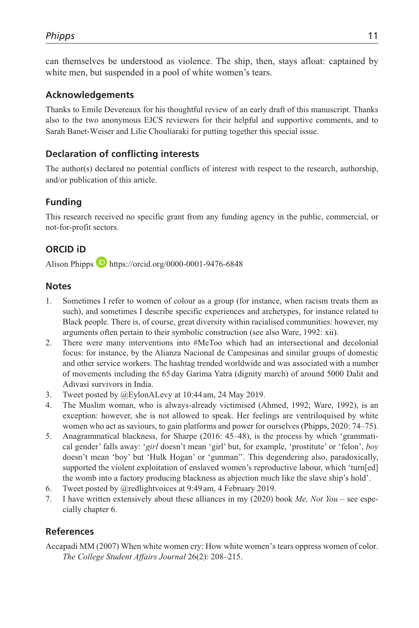can themselves be understood as violence. The ship, then, stays afloat: captained by white men, but suspended in a pool of white women's tears.

#### **Acknowledgements**

Thanks to Emile Devereaux for his thoughtful review of an early draft of this manuscript. Thanks also to the two anonymous EJCS reviewers for their helpful and supportive comments, and to Sarah Banet-Weiser and Lilie Chouliaraki for putting together this special issue.

## **Declaration of conflicting interests**

The author(s) declared no potential conflicts of interest with respect to the research, authorship, and/or publication of this article.

## **Funding**

This research received no specific grant from any funding agency in the public, commercial, or not-for-profit sectors.

#### **ORCID iD**

Alison Phipps **D** <https://orcid.org/0000-0001-9476-6848>

#### **Notes**

- 1. Sometimes I refer to women of colour as a group (for instance, when racism treats them as such), and sometimes I describe specific experiences and archetypes, for instance related to Black people. There is, of course, great diversity within racialised communities: however, my arguments often pertain to their symbolic construction (see also Ware, 1992: xii).
- 2. There were many interventions into #MeToo which had an intersectional and decolonial focus: for instance, by the Alianza Nacional de Campesinas and similar groups of domestic and other service workers. The hashtag trended worldwide and was associated with a number of movements including the 65 day Garima Yatra (dignity march) of around 5000 Dalit and Adivasi survivors in India.
- 3. Tweet posted by @EylonALevy at 10:44 am, 24 May 2019.
- 4. The Muslim woman, who is always-already victimised (Ahmed, 1992; Ware, 1992), is an exception: however, she is not allowed to speak. Her feelings are ventriloquised by white women who act as saviours, to gain platforms and power for ourselves (Phipps, 2020: 74–75).
- 5. Anagrammatical blackness, for Sharpe (2016: 45–48), is the process by which 'grammatical gender' falls away: '*girl* doesn't mean 'girl' but, for example, 'prostitute' or 'felon', *boy* doesn't mean 'boy' but 'Hulk Hogan' or 'gunman''. This degendering also, paradoxically, supported the violent exploitation of enslaved women's reproductive labour, which 'turn[ed] the womb into a factory producing blackness as abjection much like the slave ship's hold'.
- 6. Tweet posted by @redlightvoices at 9:49 am, 4 February 2019.
- 7. I have written extensively about these alliances in my (2020) book *Me, Not You* see especially chapter 6.

#### **References**

Accapadi MM (2007) When white women cry: How white women's tears oppress women of color. *The College Student Affairs Journal* 26(2): 208–215.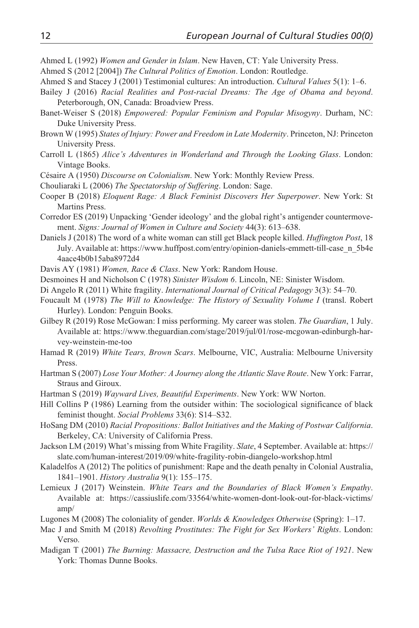- Ahmed L (1992) *Women and Gender in Islam*. New Haven, CT: Yale University Press.
- Ahmed S (2012 [2004]) *The Cultural Politics of Emotion*. London: Routledge.
- Ahmed S and Stacey J (2001) Testimonial cultures: An introduction. *Cultural Values* 5(1): 1–6.
- Bailey J (2016) *Racial Realities and Post-racial Dreams: The Age of Obama and beyond*. Peterborough, ON, Canada: Broadview Press.
- Banet-Weiser S (2018) *Empowered: Popular Feminism and Popular Misogyny*. Durham, NC: Duke University Press.
- Brown W (1995) *States of Injury: Power and Freedom in Late Modernity*. Princeton, NJ: Princeton University Press.
- Carroll L (1865) *Alice's Adventures in Wonderland and Through the Looking Glass*. London: Vintage Books.
- Césaire A (1950) *Discourse on Colonialism*. New York: Monthly Review Press.
- Chouliaraki L (2006) *The Spectatorship of Suffering*. London: Sage.
- Cooper B (2018) *Eloquent Rage: A Black Feminist Discovers Her Superpower*. New York: St Martins Press.
- Corredor ES (2019) Unpacking 'Gender ideology' and the global right's antigender countermovement. *Signs: Journal of Women in Culture and Society* 44(3): 613–638.
- Daniels J (2018) The word of a white woman can still get Black people killed. *Huffington Post*, 18 July. Available at: [https://www.huffpost.com/entry/opinion-daniels-emmett-till-case\\_n\\_5b4e](https://www.huffpost.com/entry/opinion-daniels-emmett-till-case_n_5b4e4aace4b0b15aba8972d4) [4aace4b0b15aba8972d4](https://www.huffpost.com/entry/opinion-daniels-emmett-till-case_n_5b4e4aace4b0b15aba8972d4)
- Davis AY (1981) *Women, Race & Class*. New York: Random House.
- Desmoines H and Nicholson C (1978) *Sinister Wisdom 6*. Lincoln, NE: Sinister Wisdom.
- Di Angelo R (2011) White fragility. *International Journal of Critical Pedagogy* 3(3): 54–70.
- Foucault M (1978) *The Will to Knowledge: The History of Sexuality Volume I* (transl. Robert Hurley). London: Penguin Books.
- Gilbey R (2019) Rose McGowan: I miss performing. My career was stolen. *The Guardian*, 1 July. Available at: [https://www.theguardian.com/stage/2019/jul/01/rose-mcgowan-edinburgh-har](https://www.theguardian.com/stage/2019/jul/01/rose-mcgowan-edinburgh-harvey-weinstein-me-too)[vey-weinstein-me-too](https://www.theguardian.com/stage/2019/jul/01/rose-mcgowan-edinburgh-harvey-weinstein-me-too)
- Hamad R (2019) *White Tears, Brown Scars*. Melbourne, VIC, Australia: Melbourne University Press.
- Hartman S (2007) *Lose Your Mother: A Journey along the Atlantic Slave Route*. New York: Farrar, Straus and Giroux.
- Hartman S (2019) *Wayward Lives, Beautiful Experiments*. New York: WW Norton.
- Hill Collins P (1986) Learning from the outsider within: The sociological significance of black feminist thought. *Social Problems* 33(6): S14–S32.
- HoSang DM (2010) *Racial Propositions: Ballot Initiatives and the Making of Postwar California*. Berkeley, CA: University of California Press.
- Jackson LM (2019) What's missing from White Fragility. *Slate*, 4 September. Available at: [https://](https://slate.com/human-interest/2019/09/white-fragility-robin-diangelo-workshop.html) [slate.com/human-interest/2019/09/white-fragility-robin-diangelo-workshop.html](https://slate.com/human-interest/2019/09/white-fragility-robin-diangelo-workshop.html)
- Kaladelfos A (2012) The politics of punishment: Rape and the death penalty in Colonial Australia, 1841–1901. *History Australia* 9(1): 155–175.
- Lemieux J (2017) Weinstein. *White Tears and the Boundaries of Black Women's Empathy*. Available at: [https://cassiuslife.com/33564/white-women-dont-look-out-for-black-victims/](https://cassiuslife.com/33564/white-women-dont-look-out-for-black-victims/amp/) [amp/](https://cassiuslife.com/33564/white-women-dont-look-out-for-black-victims/amp/)
- Lugones M (2008) The coloniality of gender. *Worlds & Knowledges Otherwise* (Spring): 1–17.
- Mac J and Smith M (2018) *Revolting Prostitutes: The Fight for Sex Workers' Rights*. London: Verso.
- Madigan T (2001) *The Burning: Massacre, Destruction and the Tulsa Race Riot of 1921*. New York: Thomas Dunne Books.